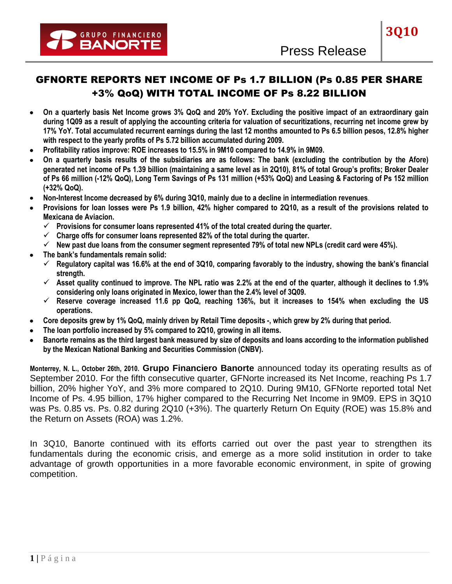# GFNORTE REPORTS NET INCOME OF Ps 1.7 BILLION (Ps 0.85 PER SHARE +3% QoQ) WITH TOTAL INCOME OF Ps 8.22 BILLION

- **On a quarterly basis Net Income grows 3% QoQ and 20% YoY. Excluding the positive impact of an extraordinary gain**   $\bullet$ **during 1Q09 as a result of applying the accounting criteria for valuation of securitizations, recurring net income grew by 17% YoY. Total accumulated recurrent earnings during the last 12 months amounted to Ps 6.5 billion pesos, 12.8% higher with respect to the yearly profits of Ps 5.72 billion accumulated during 2009.**
- **Profitability ratios improve: ROE increases to 15.5% in 9M10 compared to 14.9% in 9M09.**   $\bullet$
- **On a quarterly basis results of the subsidiaries are as follows: The bank (excluding the contribution by the Afore)**   $\bullet$ **generated net income of Ps 1.39 billion (maintaining a same level as in 2Q10), 81% of total Group's profits; Broker Dealer of Ps 66 million (-12% QoQ), Long Term Savings of Ps 131 million (+53% QoQ) and Leasing & Factoring of Ps 152 million (+32% QoQ).**
- **Non-Interest Income decreased by 6% during 3Q10, mainly due to a decline in intermediation revenues**.
- **Provisions for loan losses were Ps 1.9 billion, 42% higher compared to 2Q10, as a result of the provisions related to Mexicana de Aviacion.** 
	- **Provisions for consumer loans represented 41% of the total created during the quarter.**
	- **Charge offs for consumer loans represented 82% of the total during the quarter.**
	- **New past due loans from the consumer segment represented 79% of total new NPLs (credit card were 45%).**
- **The bank's fundamentals remain solid:** 
	- **Regulatory capital was 16.6% at the end of 3Q10, comparing favorably to the industry, showing the bank's financial strength.**
	- $\checkmark$  Asset quality continued to improve. The NPL ratio was 2.2% at the end of the quarter, although it declines to 1.9% **considering only loans originated in Mexico, lower than the 2.4% level of 3Q09.**
	- **Reserve coverage increased 11.6 pp QoQ, reaching 136%, but it increases to 154% when excluding the US operations.**
- **Core deposits grew by 1% QoQ, mainly driven by Retail Time deposits -, which grew by 2% during that period.**  $\bullet$
- **The loan portfolio increased by 5% compared to 2Q10, growing in all items.**
- **Banorte remains as the third largest bank measured by size of deposits and loans according to the information published by the Mexican National Banking and Securities Commission (CNBV).**

**Monterrey, N. L., October 26th, 2010. Grupo Financiero Banorte** announced today its operating results as of September 2010. For the fifth consecutive quarter, GFNorte increased its Net Income, reaching Ps 1.7 billion, 20% higher YoY, and 3% more compared to 2Q10. During 9M10, GFNorte reported total Net Income of Ps. 4.95 billion, 17% higher compared to the Recurring Net Income in 9M09. EPS in 3Q10 was Ps. 0.85 vs. Ps. 0.82 during 2Q10 (+3%). The quarterly Return On Equity (ROE) was 15.8% and the Return on Assets (ROA) was 1.2%.

In 3Q10, Banorte continued with its efforts carried out over the past year to strengthen its fundamentals during the economic crisis, and emerge as a more solid institution in order to take advantage of growth opportunities in a more favorable economic environment, in spite of growing competition.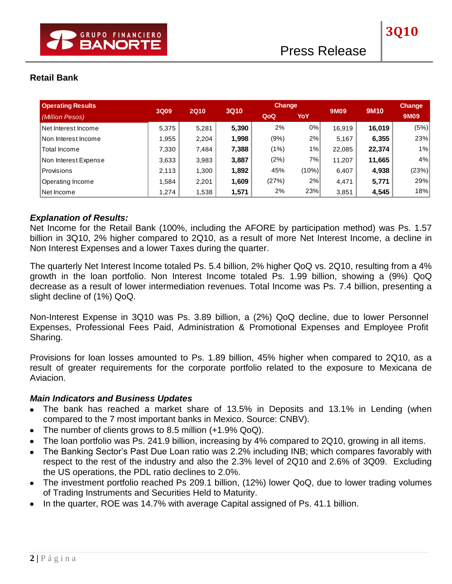# **Retail Bank**

| <b>Operating Results</b> | 3Q09  | <b>2Q10</b> | <b>3Q10</b> | <b>Change</b> |       | 9M09   | <b>9M10</b> | Change |
|--------------------------|-------|-------------|-------------|---------------|-------|--------|-------------|--------|
| (Million Pesos)          |       |             |             | QoQ           | YoY   |        |             | 9M09   |
| Net Interest Income      | 5,375 | 5,281       | 5,390       | 2%            | 0%    | 16.919 | 16,019      | (5%)   |
| Non Interest Income      | 1,955 | 2,204       | 1,998       | (9%)          | 2%    | 5,167  | 6,355       | 23%    |
| Total Income             | 7,330 | 7,484       | 7,388       | (1%)          | 1%    | 22,085 | 22,374      | 1%     |
| Non Interest Expense     | 3,633 | 3,983       | 3,887       | (2%)          | 7%    | 11,207 | 11,665      | 4%     |
| Provisions               | 2,113 | 1,300       | 1,892       | 45%           | (10%) | 6,407  | 4,938       | (23%)  |
| Operating Income         | 1,584 | 2,201       | 1,609       | (27%)         | 2%    | 4,471  | 5,771       | 29%    |
| Net Income               | 1,274 | 1,538       | 1,571       | 2%            | 23%   | 3,851  | 4,545       | 18%    |

### *Explanation of Results:*

Net Income for the Retail Bank (100%, including the AFORE by participation method) was Ps. 1.57 billion in 3Q10, 2% higher compared to 2Q10, as a result of more Net Interest Income, a decline in Non Interest Expenses and a lower Taxes during the quarter.

The quarterly Net Interest Income totaled Ps. 5.4 billion, 2% higher QoQ vs. 2Q10, resulting from a 4% growth in the loan portfolio. Non Interest Income totaled Ps. 1.99 billion, showing a (9%) QoQ decrease as a result of lower intermediation revenues. Total Income was Ps. 7.4 billion, presenting a slight decline of (1%) QoQ.

Non-Interest Expense in 3Q10 was Ps. 3.89 billion, a (2%) QoQ decline, due to lower Personnel Expenses, Professional Fees Paid, Administration & Promotional Expenses and Employee Profit Sharing.

Provisions for loan losses amounted to Ps. 1.89 billion, 45% higher when compared to 2Q10, as a result of greater requirements for the corporate portfolio related to the exposure to Mexicana de Aviacion.

### *Main Indicators and Business Updates*

- The bank has reached a market share of 13.5% in Deposits and 13.1% in Lending (when compared to the 7 most important banks in Mexico. Source: CNBV).
- The number of clients grows to 8.5 million (+1.9% QoQ).
- The loan portfolio was Ps. 241.9 billion, increasing by 4% compared to 2Q10, growing in all items.  $\bullet$
- The Banking Sector's Past Due Loan ratio was 2.2% including INB; which compares favorably with respect to the rest of the industry and also the 2.3% level of 2Q10 and 2.6% of 3Q09. Excluding the US operations, the PDL ratio declines to 2.0%.
- The investment portfolio reached Ps 209.1 billion, (12%) lower QoQ, due to lower trading volumes of Trading Instruments and Securities Held to Maturity.
- In the quarter, ROE was 14.7% with average Capital assigned of Ps. 41.1 billion.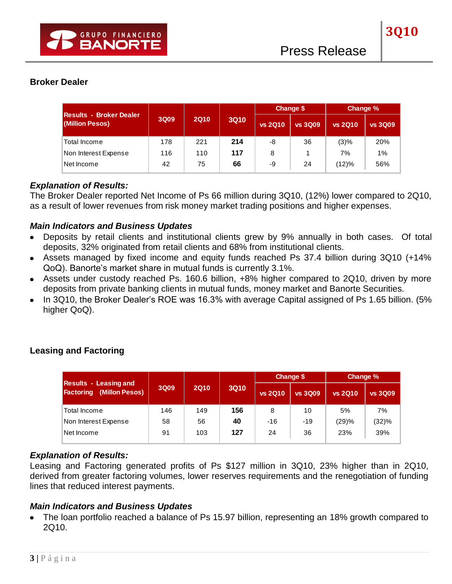# **Broker Dealer**

|                                                   |      |             |                               | Change \$ |                | Change %       |                |
|---------------------------------------------------|------|-------------|-------------------------------|-----------|----------------|----------------|----------------|
| <b>Results - Broker Dealer</b><br>(Million Pesos) | 3Q09 | <b>2Q10</b> | <b>3Q10</b><br><b>vs 2Q10</b> |           | <b>vs 3Q09</b> | <b>vs 2Q10</b> | <b>vs 3Q09</b> |
| Total Income                                      | 178  | 221         | 214                           | -8        | 36             | (3)%           | 20%            |
| Non Interest Expense                              | 116  | 110         | 117                           | 8         |                | 7%             | 1%             |
| Net Income                                        | 42   | 75          | 66                            | -9        | 24             | (12)%          | 56%            |

#### *Explanation of Results:*

The Broker Dealer reported Net Income of Ps 66 million during 3Q10, (12%) lower compared to 2Q10, as a result of lower revenues from risk money market trading positions and higher expenses.

#### *Main Indicators and Business Updates*

- Deposits by retail clients and institutional clients grew by 9% annually in both cases. Of total deposits, 32% originated from retail clients and 68% from institutional clients.
- Assets managed by fixed income and equity funds reached Ps 37.4 billion during 3Q10 (+14% QoQ). Banorte's market share in mutual funds is currently 3.1%.
- Assets under custody reached Ps. 160.6 billion, +8% higher compared to 2Q10, driven by more deposits from private banking clients in mutual funds, money market and Banorte Securities.
- In 3Q10, the Broker Dealer's ROE was 16.3% with average Capital assigned of Ps 1.65 billion. (5% higher QoQ).

|                                                                    |      |                            |     |                | Change \$      | Change %       |                |  |
|--------------------------------------------------------------------|------|----------------------------|-----|----------------|----------------|----------------|----------------|--|
| <b>Results - Leasing and</b><br>(Millon Pesos)<br><b>Factoring</b> | 3Q09 | <b>2Q10</b><br><b>3Q10</b> |     | <b>vs 2Q10</b> | <b>vs 3Q09</b> | <b>vs 2Q10</b> | <b>vs 3Q09</b> |  |
| Total Income                                                       | 146  | 149                        | 156 | 8              | 10             | 5%             | 7%             |  |
| Non Interest Expense                                               | 58   | 56                         | 40  | -16            | -19            | (29)%          | (32)%          |  |
| Net Income                                                         | 91   | 103                        | 127 | 24             | 36             | 23%            | 39%            |  |

### **Leasing and Factoring**

### *Explanation of Results:*

Leasing and Factoring generated profits of Ps \$127 million in 3Q10, 23% higher than in 2Q10, derived from greater factoring volumes, lower reserves requirements and the renegotiation of funding lines that reduced interest payments.

#### *Main Indicators and Business Updates*

The loan portfolio reached a balance of Ps 15.97 billion, representing an 18% growth compared to 2Q10.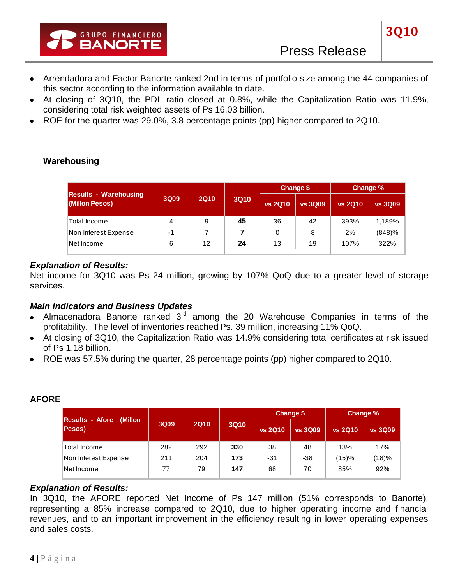- Arrendadora and Factor Banorte ranked 2nd in terms of portfolio size among the 44 companies of this sector according to the information available to date.
- At closing of 3Q10, the PDL ratio closed at 0.8%, while the Capitalization Ratio was 11.9%, considering total risk weighted assets of Ps 16.03 billion.
- ROE for the quarter was 29.0%, 3.8 percentage points (pp) higher compared to 2Q10.

|                                                |      |             |             |                | Change \$      | Change %       |                |  |
|------------------------------------------------|------|-------------|-------------|----------------|----------------|----------------|----------------|--|
| <b>Results - Warehousing</b><br>(Millon Pesos) | 3Q09 | <b>2Q10</b> | <b>3Q10</b> | <b>vs 2Q10</b> | <b>vs 3Q09</b> | <b>vs 2Q10</b> | <b>vs 3Q09</b> |  |
| Total Income                                   | 4    | 9           | 45          | 36             | 42             | 393%           | 1,189%         |  |
| Non Interest Expense                           | -1   |             |             | 0              | 8              | 2%             | (848)%         |  |
| Net Income                                     | 6    | 12          | 24          | 13             | 19             | 107%           | 322%           |  |

# **Warehousing**

### *Explanation of Results:*

Net income for 3Q10 was Ps 24 million, growing by 107% QoQ due to a greater level of storage services.

### *Main Indicators and Business Updates*

- Almacenadora Banorte ranked  $3<sup>rd</sup>$  among the 20 Warehouse Companies in terms of the profitability. The level of inventories reached Ps. 39 million, increasing 11% QoQ.
- At closing of 3Q10, the Capitalization Ratio was 14.9% considering total certificates at risk issued of Ps 1.18 billion.
- ROE was 57.5% during the quarter, 28 percentage points (pp) higher compared to 2Q10.

# **AFORE**

|                                              |                     |     |             |                | Change \$      | Change %       |                |  |
|----------------------------------------------|---------------------|-----|-------------|----------------|----------------|----------------|----------------|--|
| Results - Afore<br>(Millon<br><b>Pesos</b> ) | 3Q09<br><b>2Q10</b> |     | <b>3Q10</b> | <b>vs 2Q10</b> | <b>vs 3Q09</b> | <b>vs 2Q10</b> | <b>vs 3Q09</b> |  |
| Total Income                                 | 282                 | 292 | 330         | 38             | 48             | 13%            | 17%            |  |
| Non Interest Expense                         | 211                 | 204 | 173         | -31            | -38            | (15)%          | (18)%          |  |
| ≀Net Income                                  | 77                  | 79  | 147         | 68             | 70             | 85%            | 92%            |  |

### *Explanation of Results:*

In 3Q10, the AFORE reported Net Income of Ps 147 million (51% corresponds to Banorte), representing a 85% increase compared to 2Q10, due to higher operating income and financial revenues, and to an important improvement in the efficiency resulting in lower operating expenses and sales costs.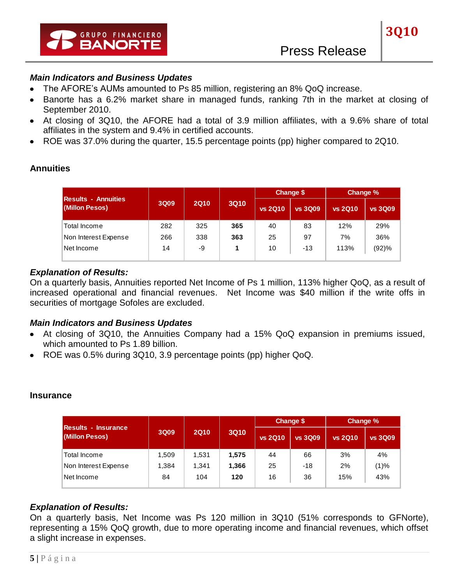### *Main Indicators and Business Updates*

- The AFORE's AUMs amounted to Ps 85 million, registering an 8% QoQ increase.  $\bullet$
- Banorte has a 6.2% market share in managed funds, ranking 7th in the market at closing of September 2010.
- At closing of 3Q10, the AFORE had a total of 3.9 million affiliates, with a 9.6% share of total affiliates in the system and 9.4% in certified accounts.
- ROE was 37.0% during the quarter, 15.5 percentage points (pp) higher compared to 2Q10.

| <b>Results - Annuities</b> |      |             |             |                | <b>Change \$</b> | Change %       |                |
|----------------------------|------|-------------|-------------|----------------|------------------|----------------|----------------|
| (Millon Pesos)             | 3Q09 | <b>2Q10</b> | <b>3Q10</b> | <b>vs 2Q10</b> | <b>vs 3Q09</b>   | <b>vs 2Q10</b> | <b>vs 3Q09</b> |
| Total Income               | 282  | 325         | 365         | 40             | 83               | 12%            | 29%            |
| Non Interest Expense       | 266  | 338         | 363         | 25             | 97               | 7%             | 36%            |
| Net Income                 | 14   | -9          | 1           | 10             | $-13$            | 113%           | (92)%          |

### *Explanation of Results:*

On a quarterly basis, Annuities reported Net Income of Ps 1 million, 113% higher QoQ, as a result of increased operational and financial revenues. Net Income was \$40 million if the write offs in securities of mortgage Sofoles are excluded.

#### *Main Indicators and Business Updates*

- At closing of 3Q10, the Annuities Company had a 15% QoQ expansion in premiums issued, which amounted to Ps 1.89 billion.
- ROE was 0.5% during 3Q10, 3.9 percentage points (pp) higher QoQ.

#### **Insurance**

|                                               |                     |       |             |                | Change \$      | Change %       |                |  |
|-----------------------------------------------|---------------------|-------|-------------|----------------|----------------|----------------|----------------|--|
| <b>IResults - Insurance</b><br>(Millon Pesos) | <b>2Q10</b><br>3Q09 |       | <b>3Q10</b> | <b>vs 2Q10</b> | <b>vs 3Q09</b> | <b>vs 2Q10</b> | <b>vs 3Q09</b> |  |
| Total Income                                  | 1.509               | 1,531 | 1,575       | 44             | 66             | 3%             | 4%             |  |
| Non Interest Expense                          | 1,384               | 1,341 | 1,366       | 25             | $-18$          | 2%             | (1)%           |  |
| Net Income                                    | 84                  | 104   | 120         | 16             | 36             | 15%            | 43%            |  |

### *Explanation of Results:*

On a quarterly basis, Net Income was Ps 120 million in 3Q10 (51% corresponds to GFNorte), representing a 15% QoQ growth, due to more operating income and financial revenues, which offset a slight increase in expenses.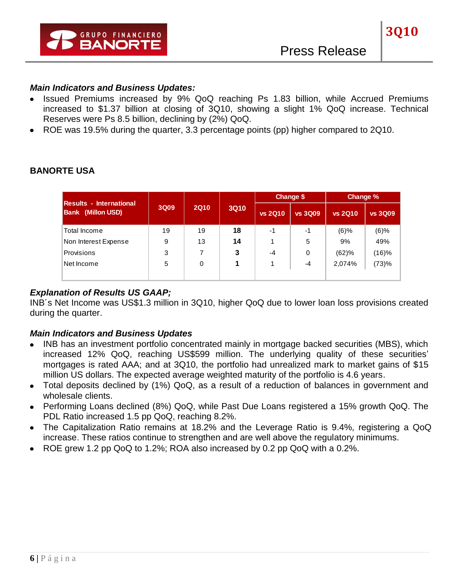### *Main Indicators and Business Updates:*

- Issued Premiums increased by 9% QoQ reaching Ps 1.83 billion, while Accrued Premiums increased to \$1.37 billion at closing of 3Q10, showing a slight 1% QoQ increase. Technical Reserves were Ps 8.5 billion, declining by (2%) QoQ.
- ROE was 19.5% during the quarter, 3.3 percentage points (pp) higher compared to 2Q10.

|                                                            |      |             |             | Change \$      |                | Change %       |                |  |
|------------------------------------------------------------|------|-------------|-------------|----------------|----------------|----------------|----------------|--|
| <b>Results - International</b><br><b>Bank (Millon USD)</b> | 3Q09 | <b>2Q10</b> | <b>3Q10</b> | <b>vs 2Q10</b> | <b>vs 3Q09</b> | <b>vs 2Q10</b> | <b>vs 3Q09</b> |  |
| Total Income                                               | 19   | 19          | 18          | $-1$           | -1             | $(6)$ %        | $(6)$ %        |  |
| Non Interest Expense                                       | 9    | 13          | 14          |                | 5              | 9%             | 49%            |  |
| <b>Provisions</b>                                          | 3    |             | 3           | $-4$           | 0              | (62)%          | (16)%          |  |
| Net Income                                                 | 5    | 0           |             |                | -4             | 2,074%         | (73)%          |  |
|                                                            |      |             |             |                |                |                |                |  |

### **BANORTE USA**

# *Explanation of Results US GAAP;*

INB´s Net Income was US\$1.3 million in 3Q10, higher QoQ due to lower loan loss provisions created during the quarter.

# *Main Indicators and Business Updates*

- INB has an investment portfolio concentrated mainly in mortgage backed securities (MBS), which increased 12% QoQ, reaching US\$599 million. The underlying quality of these securities' mortgages is rated AAA; and at 3Q10, the portfolio had unrealized mark to market gains of \$15 million US dollars. The expected average weighted maturity of the portfolio is 4.6 years.
- Total deposits declined by (1%) QoQ, as a result of a reduction of balances in government and wholesale clients.
- Performing Loans declined (8%) QoQ, while Past Due Loans registered a 15% growth QoQ. The PDL Ratio increased 1.5 pp QoQ, reaching 8.2%.
- The Capitalization Ratio remains at 18.2% and the Leverage Ratio is 9.4%, registering a QoQ increase. These ratios continue to strengthen and are well above the regulatory minimums.
- ROE grew 1.2 pp QoQ to 1.2%; ROA also increased by 0.2 pp QoQ with a 0.2%.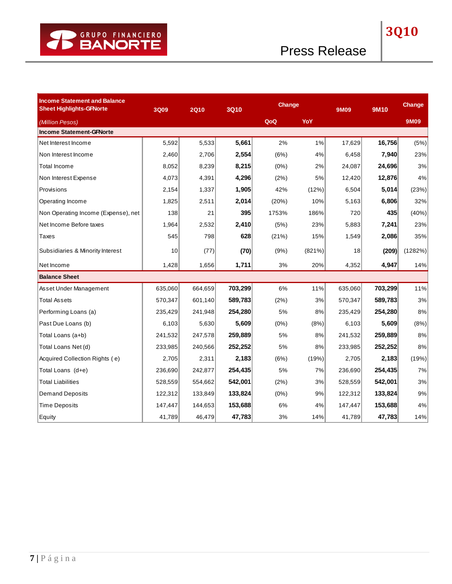| <b>Income Statement and Balance</b><br><b>Sheet Highlights-GFNorte</b> | 3Q09    | <b>2Q10</b> | <b>3Q10</b> |         | <b>Change</b> |         | <b>9M10</b> | Change  |
|------------------------------------------------------------------------|---------|-------------|-------------|---------|---------------|---------|-------------|---------|
| (Million Pesos)                                                        |         |             |             | QoQ     | YoY           |         |             | 9M09    |
| <b>Income Statement-GFNorte</b>                                        |         |             |             |         |               |         |             |         |
| Net Interest Income                                                    | 5,592   | 5,533       | 5,661       | 2%      | 1%            | 17,629  | 16,756      | (5%)    |
| Non Interest Income                                                    | 2,460   | 2,706       | 2,554       | (6%)    | 4%            | 6,458   | 7,940       | 23%     |
| Total Income                                                           | 8,052   | 8,239       | 8,215       | (0%)    | 2%            | 24,087  | 24,696      | 3%      |
| Non Interest Expense                                                   | 4,073   | 4,391       | 4,296       | (2%)    | 5%            | 12,420  | 12,876      | 4%      |
| Provisions                                                             | 2,154   | 1,337       | 1,905       | 42%     | (12%)         | 6,504   | 5,014       | (23%)   |
| Operating Income                                                       | 1,825   | 2,511       | 2,014       | (20%)   | 10%           | 5,163   | 6,806       | 32%     |
| Non Operating Income (Expense), net                                    | 138     | 21          | 395         | 1753%   | 186%          | 720     | 435         | (40%)   |
| Net Income Before taxes                                                | 1,964   | 2,532       | 2,410       | (5%)    | 23%           | 5,883   | 7,241       | 23%     |
| Taxes                                                                  | 545     | 798         | 628         | (21%)   | 15%           | 1,549   | 2,086       | 35%     |
| Subsidiaries & Minority Interest                                       | 10      | (77)        | (70)        | (9%)    | (821%)        | 18      | (209)       | (1282%) |
| Net Income                                                             | 1,428   | 1,656       | 1,711       | 3%      | 20%           | 4,352   | 4,947       | 14%     |
| <b>Balance Sheet</b>                                                   |         |             |             |         |               |         |             |         |
| Asset Under Management                                                 | 635,060 | 664,659     | 703,299     | 6%      | 11%           | 635,060 | 703,299     | 11%     |
| <b>Total Assets</b>                                                    | 570,347 | 601,140     | 589,783     | (2%)    | 3%            | 570,347 | 589,783     | 3%      |
| Performing Loans (a)                                                   | 235,429 | 241,948     | 254,280     | 5%      | 8%            | 235,429 | 254,280     | 8%      |
| Past Due Loans (b)                                                     | 6,103   | 5,630       | 5,609       | (0%)    | (8%)          | 6,103   | 5,609       | (8%)    |
| Total Loans (a+b)                                                      | 241,532 | 247,578     | 259,889     | 5%      | 8%            | 241,532 | 259,889     | 8%      |
| Total Loans Net (d)                                                    | 233,985 | 240,566     | 252,252     | 5%      | 8%            | 233,985 | 252,252     | 8%      |
| Acquired Collection Rights (e)                                         | 2,705   | 2,311       | 2,183       | (6%)    | (19%)         | 2,705   | 2,183       | (19%)   |
| Total Loans (d+e)                                                      | 236,690 | 242,877     | 254,435     | 5%      | 7%            | 236,690 | 254,435     | 7%      |
| <b>Total Liabilities</b>                                               | 528,559 | 554,662     | 542,001     | (2%)    | 3%            | 528,559 | 542,001     | 3%      |
| <b>Demand Deposits</b>                                                 | 122,312 | 133,849     | 133,824     | $(0\%)$ | 9%            | 122,312 | 133,824     | 9%      |
| <b>Time Deposits</b>                                                   | 147,447 | 144,653     | 153,688     | 6%      | 4%            | 147,447 | 153,688     | 4%      |
| Equity                                                                 | 41,789  | 46,479      | 47,783      | 3%      | 14%           | 41,789  | 47,783      | 14%     |